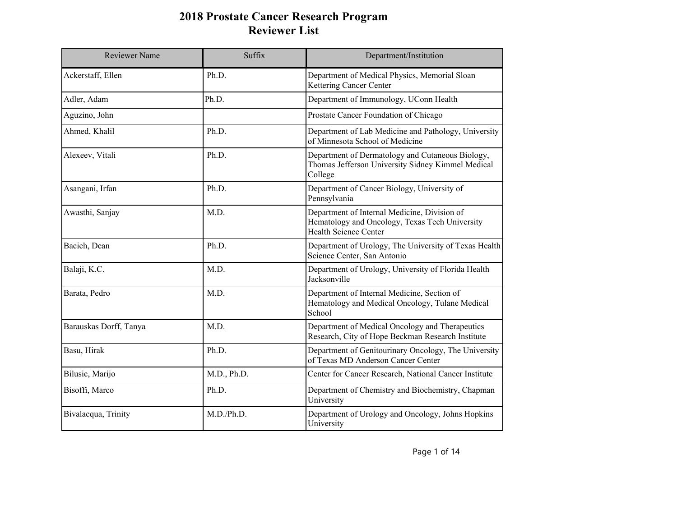| Reviewer Name          | Suffix      | Department/Institution                                                                                                  |
|------------------------|-------------|-------------------------------------------------------------------------------------------------------------------------|
| Ackerstaff, Ellen      | Ph.D.       | Department of Medical Physics, Memorial Sloan<br>Kettering Cancer Center                                                |
| Adler, Adam            | Ph.D.       | Department of Immunology, UConn Health                                                                                  |
| Aguzino, John          |             | Prostate Cancer Foundation of Chicago                                                                                   |
| Ahmed, Khalil          | Ph.D.       | Department of Lab Medicine and Pathology, University<br>of Minnesota School of Medicine                                 |
| Alexeev, Vitali        | Ph.D.       | Department of Dermatology and Cutaneous Biology,<br>Thomas Jefferson University Sidney Kimmel Medical<br>College        |
| Asangani, Irfan        | Ph.D.       | Department of Cancer Biology, University of<br>Pennsylvania                                                             |
| Awasthi, Sanjay        | M.D.        | Department of Internal Medicine, Division of<br>Hematology and Oncology, Texas Tech University<br>Health Science Center |
| Bacich, Dean           | Ph.D.       | Department of Urology, The University of Texas Health<br>Science Center, San Antonio                                    |
| Balaji, K.C.           | M.D.        | Department of Urology, University of Florida Health<br>Jacksonville                                                     |
| Barata, Pedro          | M.D.        | Department of Internal Medicine, Section of<br>Hematology and Medical Oncology, Tulane Medical<br>School                |
| Barauskas Dorff, Tanya | M.D.        | Department of Medical Oncology and Therapeutics<br>Research, City of Hope Beckman Research Institute                    |
| Basu, Hirak            | Ph.D.       | Department of Genitourinary Oncology, The University<br>of Texas MD Anderson Cancer Center                              |
| Bilusic, Marijo        | M.D., Ph.D. | Center for Cancer Research, National Cancer Institute                                                                   |
| Bisoffi, Marco         | Ph.D.       | Department of Chemistry and Biochemistry, Chapman<br>University                                                         |
| Bivalacqua, Trinity    | M.D./Ph.D.  | Department of Urology and Oncology, Johns Hopkins<br>University                                                         |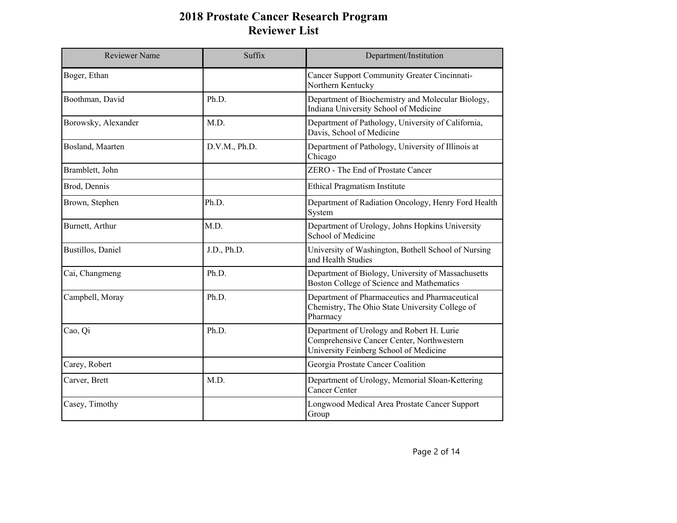| <b>Reviewer Name</b> | Suffix        | Department/Institution                                                                                                           |
|----------------------|---------------|----------------------------------------------------------------------------------------------------------------------------------|
| Boger, Ethan         |               | <b>Cancer Support Community Greater Cincinnati-</b><br>Northern Kentucky                                                         |
| Boothman, David      | Ph.D.         | Department of Biochemistry and Molecular Biology,<br>Indiana University School of Medicine                                       |
| Borowsky, Alexander  | M.D.          | Department of Pathology, University of California,<br>Davis, School of Medicine                                                  |
| Bosland, Maarten     | D.V.M., Ph.D. | Department of Pathology, University of Illinois at<br>Chicago                                                                    |
| Bramblett, John      |               | ZERO - The End of Prostate Cancer                                                                                                |
| Brod, Dennis         |               | <b>Ethical Pragmatism Institute</b>                                                                                              |
| Brown, Stephen       | Ph.D.         | Department of Radiation Oncology, Henry Ford Health<br>System                                                                    |
| Burnett, Arthur      | M.D.          | Department of Urology, Johns Hopkins University<br>School of Medicine                                                            |
| Bustillos, Daniel    | J.D., Ph.D.   | University of Washington, Bothell School of Nursing<br>and Health Studies                                                        |
| Cai, Changmeng       | Ph.D.         | Department of Biology, University of Massachusetts<br>Boston College of Science and Mathematics                                  |
| Campbell, Moray      | Ph.D.         | Department of Pharmaceutics and Pharmaceutical<br>Chemistry, The Ohio State University College of<br>Pharmacy                    |
| Cao, Qi              | Ph.D.         | Department of Urology and Robert H. Lurie<br>Comprehensive Cancer Center, Northwestern<br>University Feinberg School of Medicine |
| Carey, Robert        |               | Georgia Prostate Cancer Coalition                                                                                                |
| Carver, Brett        | M.D.          | Department of Urology, Memorial Sloan-Kettering<br><b>Cancer Center</b>                                                          |
| Casey, Timothy       |               | Longwood Medical Area Prostate Cancer Support<br>Group                                                                           |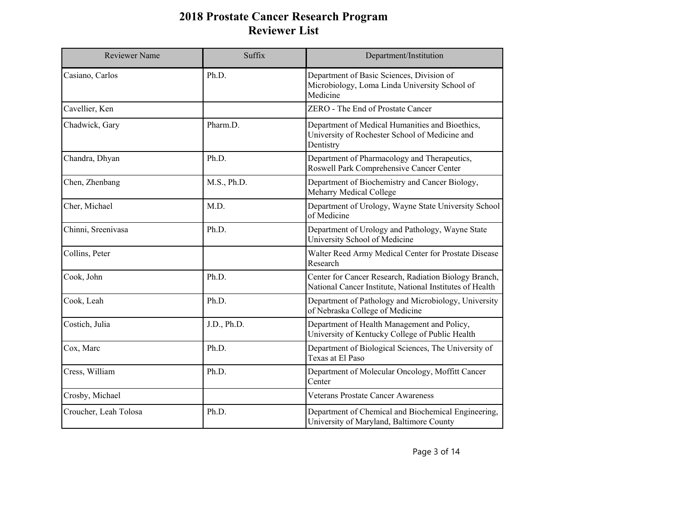| <b>Reviewer Name</b>  | Suffix      | Department/Institution                                                                                            |
|-----------------------|-------------|-------------------------------------------------------------------------------------------------------------------|
| Casiano, Carlos       | Ph.D.       | Department of Basic Sciences, Division of<br>Microbiology, Loma Linda University School of<br>Medicine            |
| Cavellier, Ken        |             | ZERO - The End of Prostate Cancer                                                                                 |
| Chadwick, Gary        | Pharm.D.    | Department of Medical Humanities and Bioethics,<br>University of Rochester School of Medicine and<br>Dentistry    |
| Chandra, Dhyan        | Ph.D.       | Department of Pharmacology and Therapeutics,<br>Roswell Park Comprehensive Cancer Center                          |
| Chen, Zhenbang        | M.S., Ph.D. | Department of Biochemistry and Cancer Biology,<br>Meharry Medical College                                         |
| Cher, Michael         | M.D.        | Department of Urology, Wayne State University School<br>of Medicine                                               |
| Chinni, Sreenivasa    | Ph.D.       | Department of Urology and Pathology, Wayne State<br>University School of Medicine                                 |
| Collins, Peter        |             | Walter Reed Army Medical Center for Prostate Disease<br>Research                                                  |
| Cook, John            | Ph.D.       | Center for Cancer Research, Radiation Biology Branch,<br>National Cancer Institute, National Institutes of Health |
| Cook, Leah            | Ph.D.       | Department of Pathology and Microbiology, University<br>of Nebraska College of Medicine                           |
| Costich, Julia        | J.D., Ph.D. | Department of Health Management and Policy,<br>University of Kentucky College of Public Health                    |
| Cox, Marc             | Ph.D.       | Department of Biological Sciences, The University of<br>Texas at El Paso                                          |
| Cress, William        | Ph.D.       | Department of Molecular Oncology, Moffitt Cancer<br>Center                                                        |
| Crosby, Michael       |             | <b>Veterans Prostate Cancer Awareness</b>                                                                         |
| Croucher, Leah Tolosa | Ph.D.       | Department of Chemical and Biochemical Engineering,<br>University of Maryland, Baltimore County                   |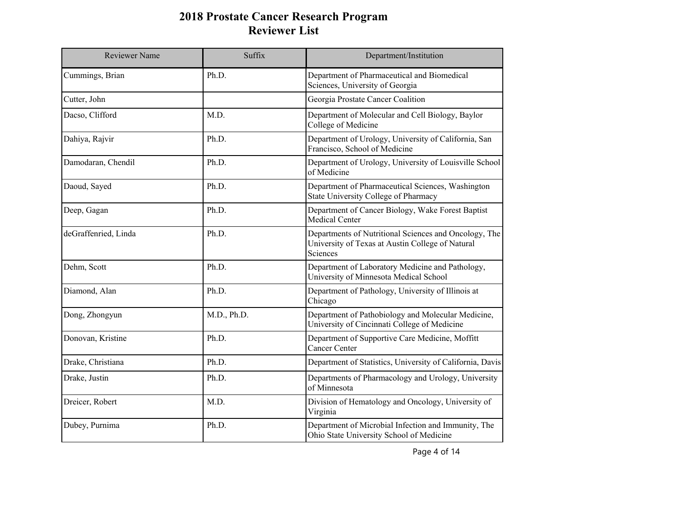| <b>Reviewer Name</b> | Suffix      | Department/Institution                                                                                                |
|----------------------|-------------|-----------------------------------------------------------------------------------------------------------------------|
| Cummings, Brian      | Ph.D.       | Department of Pharmaceutical and Biomedical<br>Sciences, University of Georgia                                        |
| Cutter, John         |             | Georgia Prostate Cancer Coalition                                                                                     |
| Dacso, Clifford      | M.D.        | Department of Molecular and Cell Biology, Baylor<br>College of Medicine                                               |
| Dahiya, Rajvir       | Ph.D.       | Department of Urology, University of California, San<br>Francisco, School of Medicine                                 |
| Damodaran, Chendil   | Ph.D.       | Department of Urology, University of Louisville School<br>of Medicine                                                 |
| Daoud, Sayed         | Ph.D.       | Department of Pharmaceutical Sciences, Washington<br>State University College of Pharmacy                             |
| Deep, Gagan          | Ph.D.       | Department of Cancer Biology, Wake Forest Baptist<br>Medical Center                                                   |
| deGraffenried, Linda | Ph.D.       | Departments of Nutritional Sciences and Oncology, The<br>University of Texas at Austin College of Natural<br>Sciences |
| Dehm, Scott          | Ph.D.       | Department of Laboratory Medicine and Pathology,<br>University of Minnesota Medical School                            |
| Diamond, Alan        | Ph.D.       | Department of Pathology, University of Illinois at<br>Chicago                                                         |
| Dong, Zhongyun       | M.D., Ph.D. | Department of Pathobiology and Molecular Medicine,<br>University of Cincinnati College of Medicine                    |
| Donovan, Kristine    | Ph.D.       | Department of Supportive Care Medicine, Moffitt<br>Cancer Center                                                      |
| Drake, Christiana    | Ph.D.       | Department of Statistics, University of California, Davis                                                             |
| Drake, Justin        | Ph.D.       | Departments of Pharmacology and Urology, University<br>of Minnesota                                                   |
| Dreicer, Robert      | M.D.        | Division of Hematology and Oncology, University of<br>Virginia                                                        |
| Dubey, Purnima       | Ph.D.       | Department of Microbial Infection and Immunity, The<br>Ohio State University School of Medicine                       |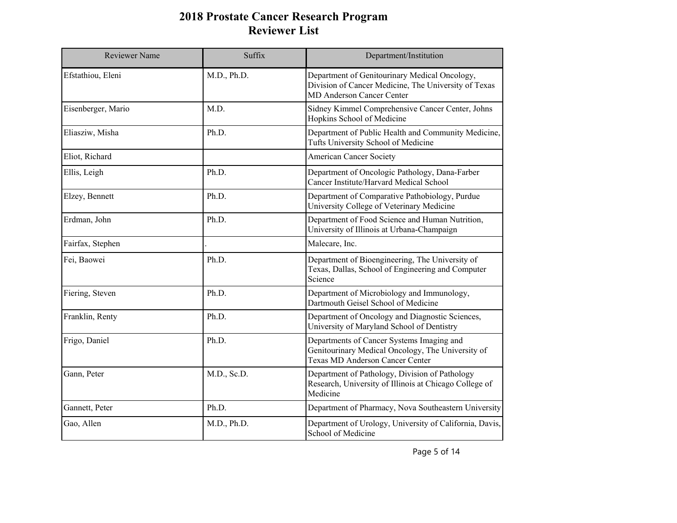| <b>Reviewer Name</b> | Suffix      | Department/Institution                                                                                                                    |
|----------------------|-------------|-------------------------------------------------------------------------------------------------------------------------------------------|
| Efstathiou, Eleni    | M.D., Ph.D. | Department of Genitourinary Medical Oncology,<br>Division of Cancer Medicine, The University of Texas<br><b>MD Anderson Cancer Center</b> |
| Eisenberger, Mario   | M.D.        | Sidney Kimmel Comprehensive Cancer Center, Johns<br>Hopkins School of Medicine                                                            |
| Eliasziw, Misha      | Ph.D.       | Department of Public Health and Community Medicine,<br>Tufts University School of Medicine                                                |
| Eliot, Richard       |             | <b>American Cancer Society</b>                                                                                                            |
| Ellis, Leigh         | Ph.D.       | Department of Oncologic Pathology, Dana-Farber<br>Cancer Institute/Harvard Medical School                                                 |
| Elzey, Bennett       | Ph.D.       | Department of Comparative Pathobiology, Purdue<br>University College of Veterinary Medicine                                               |
| Erdman, John         | Ph.D.       | Department of Food Science and Human Nutrition,<br>University of Illinois at Urbana-Champaign                                             |
| Fairfax, Stephen     |             | Malecare, Inc.                                                                                                                            |
| Fei, Baowei          | Ph.D.       | Department of Bioengineering, The University of<br>Texas, Dallas, School of Engineering and Computer<br>Science                           |
| Fiering, Steven      | Ph.D.       | Department of Microbiology and Immunology,<br>Dartmouth Geisel School of Medicine                                                         |
| Franklin, Renty      | Ph.D.       | Department of Oncology and Diagnostic Sciences,<br>University of Maryland School of Dentistry                                             |
| Frigo, Daniel        | Ph.D.       | Departments of Cancer Systems Imaging and<br>Genitourinary Medical Oncology, The University of<br><b>Texas MD Anderson Cancer Center</b>  |
| Gann, Peter          | M.D., Sc.D. | Department of Pathology, Division of Pathology<br>Research, University of Illinois at Chicago College of<br>Medicine                      |
| Gannett, Peter       | Ph.D.       | Department of Pharmacy, Nova Southeastern University                                                                                      |
| Gao, Allen           | M.D., Ph.D. | Department of Urology, University of California, Davis,<br>School of Medicine                                                             |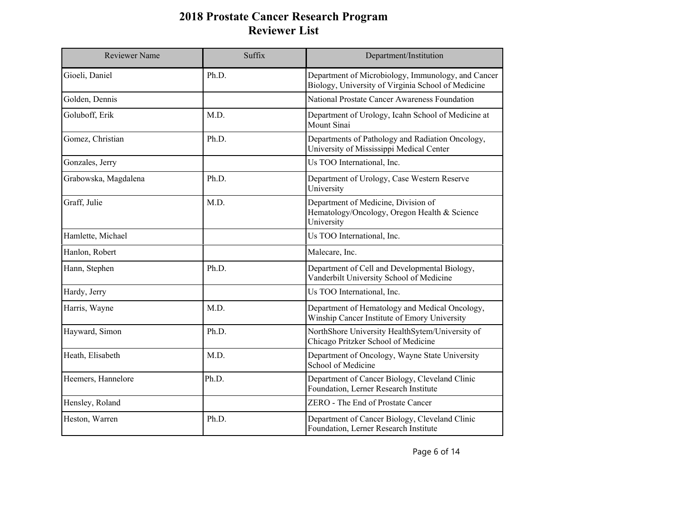| <b>Reviewer Name</b> | Suffix | Department/Institution                                                                                   |
|----------------------|--------|----------------------------------------------------------------------------------------------------------|
| Gioeli, Daniel       | Ph.D.  | Department of Microbiology, Immunology, and Cancer<br>Biology, University of Virginia School of Medicine |
| Golden, Dennis       |        | National Prostate Cancer Awareness Foundation                                                            |
| Goluboff, Erik       | M.D.   | Department of Urology, Icahn School of Medicine at<br>Mount Sinai                                        |
| Gomez, Christian     | Ph.D.  | Departments of Pathology and Radiation Oncology,<br>University of Mississippi Medical Center             |
| Gonzales, Jerry      |        | Us TOO International, Inc.                                                                               |
| Grabowska, Magdalena | Ph.D.  | Department of Urology, Case Western Reserve<br>University                                                |
| Graff, Julie         | M.D.   | Department of Medicine, Division of<br>Hematology/Oncology, Oregon Health & Science<br>University        |
| Hamlette, Michael    |        | Us TOO International, Inc.                                                                               |
| Hanlon, Robert       |        | Malecare, Inc.                                                                                           |
| Hann, Stephen        | Ph.D.  | Department of Cell and Developmental Biology,<br>Vanderbilt University School of Medicine                |
| Hardy, Jerry         |        | Us TOO International, Inc.                                                                               |
| Harris, Wayne        | M.D.   | Department of Hematology and Medical Oncology,<br>Winship Cancer Institute of Emory University           |
| Hayward, Simon       | Ph.D.  | NorthShore University HealthSytem/University of<br>Chicago Pritzker School of Medicine                   |
| Heath, Elisabeth     | M.D.   | Department of Oncology, Wayne State University<br>School of Medicine                                     |
| Heemers, Hannelore   | Ph.D.  | Department of Cancer Biology, Cleveland Clinic<br>Foundation, Lerner Research Institute                  |
| Hensley, Roland      |        | ZERO - The End of Prostate Cancer                                                                        |
| Heston, Warren       | Ph.D.  | Department of Cancer Biology, Cleveland Clinic<br>Foundation, Lerner Research Institute                  |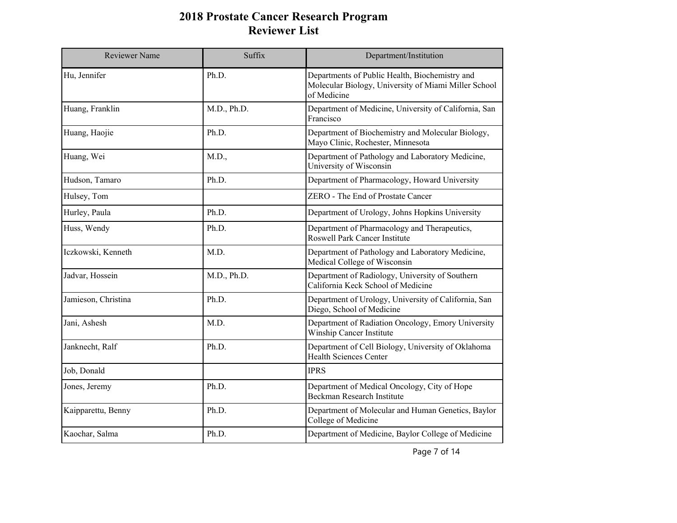| <b>Reviewer Name</b> | Suffix      | Department/Institution                                                                                                |
|----------------------|-------------|-----------------------------------------------------------------------------------------------------------------------|
| Hu, Jennifer         | Ph.D.       | Departments of Public Health, Biochemistry and<br>Molecular Biology, University of Miami Miller School<br>of Medicine |
| Huang, Franklin      | M.D., Ph.D. | Department of Medicine, University of California, San<br>Francisco                                                    |
| Huang, Haojie        | Ph.D.       | Department of Biochemistry and Molecular Biology,<br>Mayo Clinic, Rochester, Minnesota                                |
| Huang, Wei           | M.D.,       | Department of Pathology and Laboratory Medicine,<br>University of Wisconsin                                           |
| Hudson, Tamaro       | Ph.D.       | Department of Pharmacology, Howard University                                                                         |
| Hulsey, Tom          |             | ZERO - The End of Prostate Cancer                                                                                     |
| Hurley, Paula        | Ph.D.       | Department of Urology, Johns Hopkins University                                                                       |
| Huss, Wendy          | Ph.D.       | Department of Pharmacology and Therapeutics,<br>Roswell Park Cancer Institute                                         |
| Iczkowski, Kenneth   | M.D.        | Department of Pathology and Laboratory Medicine,<br>Medical College of Wisconsin                                      |
| Jadvar, Hossein      | M.D., Ph.D. | Department of Radiology, University of Southern<br>California Keck School of Medicine                                 |
| Jamieson, Christina  | Ph.D.       | Department of Urology, University of California, San<br>Diego, School of Medicine                                     |
| Jani, Ashesh         | M.D.        | Department of Radiation Oncology, Emory University<br>Winship Cancer Institute                                        |
| Janknecht, Ralf      | Ph.D.       | Department of Cell Biology, University of Oklahoma<br>Health Sciences Center                                          |
| Job, Donald          |             | <b>IPRS</b>                                                                                                           |
| Jones, Jeremy        | Ph.D.       | Department of Medical Oncology, City of Hope<br>Beckman Research Institute                                            |
| Kaipparettu, Benny   | Ph.D.       | Department of Molecular and Human Genetics, Baylor<br>College of Medicine                                             |
| Kaochar, Salma       | Ph.D.       | Department of Medicine, Baylor College of Medicine                                                                    |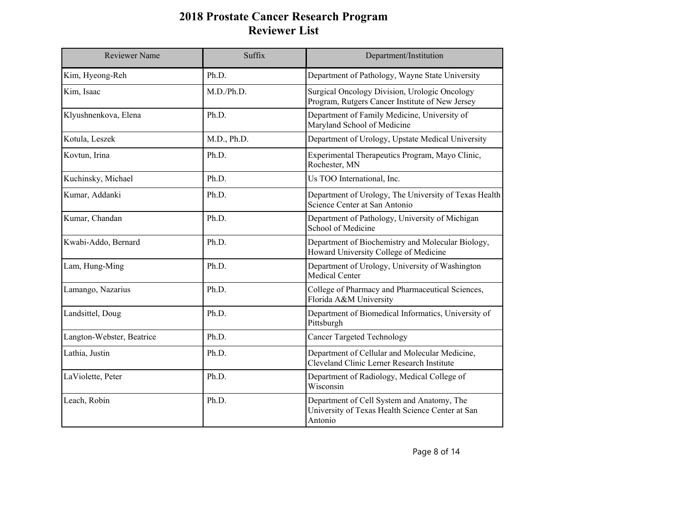| <b>Reviewer Name</b>      | Suffix      | Department/Institution                                                                                    |
|---------------------------|-------------|-----------------------------------------------------------------------------------------------------------|
| Kim, Hyeong-Reh           | Ph.D.       | Department of Pathology, Wayne State University                                                           |
| Kim, Isaac                | M.D./Ph.D.  | Surgical Oncology Division, Urologic Oncology<br>Program, Rutgers Cancer Institute of New Jersey          |
| Klyushnenkova, Elena      | Ph.D.       | Department of Family Medicine, University of<br>Maryland School of Medicine                               |
| Kotula, Leszek            | M.D., Ph.D. | Department of Urology, Upstate Medical University                                                         |
| Kovtun, Irina             | Ph.D.       | Experimental Therapeutics Program, Mayo Clinic,<br>Rochester, MN                                          |
| Kuchinsky, Michael        | Ph.D.       | Us TOO International, Inc.                                                                                |
| Kumar, Addanki            | Ph.D.       | Department of Urology, The University of Texas Health<br>Science Center at San Antonio                    |
| Kumar, Chandan            | Ph.D.       | Department of Pathology, University of Michigan<br>School of Medicine                                     |
| Kwabi-Addo, Bernard       | Ph.D.       | Department of Biochemistry and Molecular Biology,<br>Howard University College of Medicine                |
| Lam, Hung-Ming            | Ph.D.       | Department of Urology, University of Washington<br>Medical Center                                         |
| Lamango, Nazarius         | Ph.D.       | College of Pharmacy and Pharmaceutical Sciences,<br>Florida A&M University                                |
| Landsittel, Doug          | Ph.D.       | Department of Biomedical Informatics, University of<br>Pittsburgh                                         |
| Langton-Webster, Beatrice | Ph.D.       | <b>Cancer Targeted Technology</b>                                                                         |
| Lathia, Justin            | Ph.D.       | Department of Cellular and Molecular Medicine,<br>Cleveland Clinic Lerner Research Institute              |
| LaViolette, Peter         | Ph.D.       | Department of Radiology, Medical College of<br>Wisconsin                                                  |
| Leach, Robin              | Ph.D.       | Department of Cell System and Anatomy, The<br>University of Texas Health Science Center at San<br>Antonio |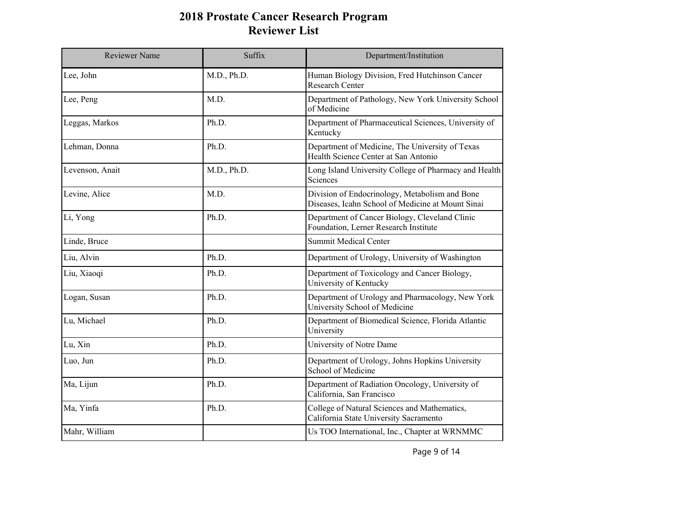| <b>Reviewer Name</b> | Suffix      | Department/Institution                                                                              |
|----------------------|-------------|-----------------------------------------------------------------------------------------------------|
| Lee, John            | M.D., Ph.D. | Human Biology Division, Fred Hutchinson Cancer<br>Research Center                                   |
| Lee, Peng            | M.D.        | Department of Pathology, New York University School<br>of Medicine                                  |
| Leggas, Markos       | Ph.D.       | Department of Pharmaceutical Sciences, University of<br>Kentucky                                    |
| Lehman, Donna        | Ph.D.       | Department of Medicine, The University of Texas<br>Health Science Center at San Antonio             |
| Levenson, Anait      | M.D., Ph.D. | Long Island University College of Pharmacy and Health<br>Sciences                                   |
| Levine, Alice        | M.D.        | Division of Endocrinology, Metabolism and Bone<br>Diseases, Icahn School of Medicine at Mount Sinai |
| Li, Yong             | Ph.D.       | Department of Cancer Biology, Cleveland Clinic<br>Foundation, Lerner Research Institute             |
| Linde, Bruce         |             | <b>Summit Medical Center</b>                                                                        |
| Liu, Alvin           | Ph.D.       | Department of Urology, University of Washington                                                     |
| Liu, Xiaoqi          | Ph.D.       | Department of Toxicology and Cancer Biology,<br>University of Kentucky                              |
| Logan, Susan         | Ph.D.       | Department of Urology and Pharmacology, New York<br>University School of Medicine                   |
| Lu, Michael          | Ph.D.       | Department of Biomedical Science, Florida Atlantic<br>University                                    |
| Lu, Xin              | Ph.D.       | University of Notre Dame                                                                            |
| Luo, Jun             | Ph.D.       | Department of Urology, Johns Hopkins University<br>School of Medicine                               |
| Ma, Lijun            | Ph.D.       | Department of Radiation Oncology, University of<br>California, San Francisco                        |
| Ma, Yinfa            | Ph.D.       | College of Natural Sciences and Mathematics,<br>California State University Sacramento              |
| Mahr, William        |             | Us TOO International, Inc., Chapter at WRNMMC                                                       |

Page 9 of 14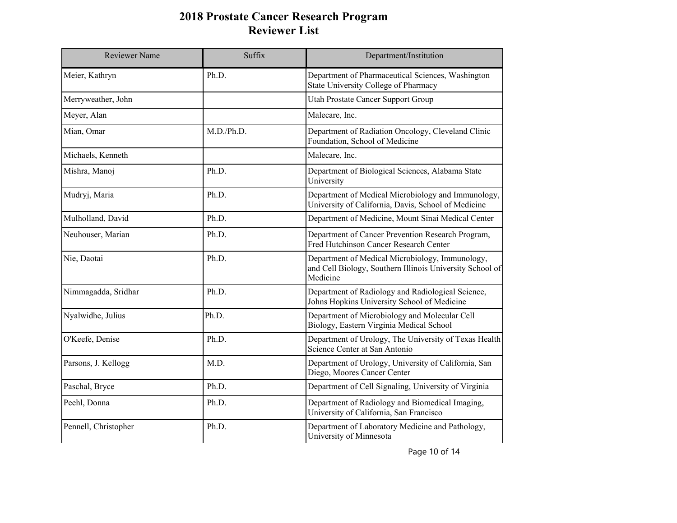| <b>Reviewer Name</b> | Suffix     | Department/Institution                                                                                                  |
|----------------------|------------|-------------------------------------------------------------------------------------------------------------------------|
| Meier, Kathryn       | Ph.D.      | Department of Pharmaceutical Sciences, Washington<br>State University College of Pharmacy                               |
| Merryweather, John   |            | Utah Prostate Cancer Support Group                                                                                      |
| Meyer, Alan          |            | Malecare, Inc.                                                                                                          |
| Mian, Omar           | M.D./Ph.D. | Department of Radiation Oncology, Cleveland Clinic<br>Foundation, School of Medicine                                    |
| Michaels, Kenneth    |            | Malecare, Inc.                                                                                                          |
| Mishra, Manoj        | Ph.D.      | Department of Biological Sciences, Alabama State<br>University                                                          |
| Mudryj, Maria        | Ph.D.      | Department of Medical Microbiology and Immunology,<br>University of California, Davis, School of Medicine               |
| Mulholland, David    | Ph.D.      | Department of Medicine, Mount Sinai Medical Center                                                                      |
| Neuhouser, Marian    | Ph.D.      | Department of Cancer Prevention Research Program,<br>Fred Hutchinson Cancer Research Center                             |
| Nie, Daotai          | Ph.D.      | Department of Medical Microbiology, Immunology,<br>and Cell Biology, Southern Illinois University School of<br>Medicine |
| Nimmagadda, Sridhar  | Ph.D.      | Department of Radiology and Radiological Science,<br>Johns Hopkins University School of Medicine                        |
| Nyalwidhe, Julius    | Ph.D.      | Department of Microbiology and Molecular Cell<br>Biology, Eastern Virginia Medical School                               |
| O'Keefe, Denise      | Ph.D.      | Department of Urology, The University of Texas Health<br>Science Center at San Antonio                                  |
| Parsons, J. Kellogg  | M.D.       | Department of Urology, University of California, San<br>Diego, Moores Cancer Center                                     |
| Paschal, Bryce       | Ph.D.      | Department of Cell Signaling, University of Virginia                                                                    |
| Peehl, Donna         | Ph.D.      | Department of Radiology and Biomedical Imaging,<br>University of California, San Francisco                              |
| Pennell, Christopher | Ph.D.      | Department of Laboratory Medicine and Pathology,<br>University of Minnesota                                             |

Page 10 of 14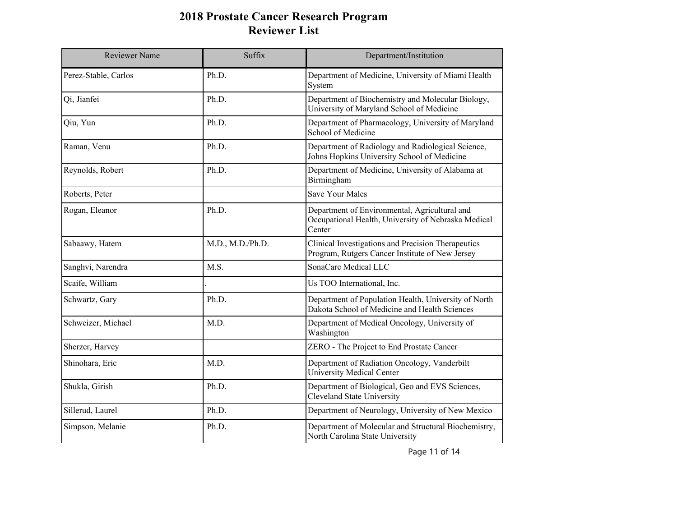| Reviewer Name        | Suffix           | Department/Institution                                                                                         |
|----------------------|------------------|----------------------------------------------------------------------------------------------------------------|
| Perez-Stable, Carlos | Ph.D.            | Department of Medicine, University of Miami Health<br>System                                                   |
| Qi, Jianfei          | Ph.D.            | Department of Biochemistry and Molecular Biology,<br>University of Maryland School of Medicine                 |
| Qiu, Yun             | Ph.D.            | Department of Pharmacology, University of Maryland<br>School of Medicine                                       |
| Raman, Venu          | Ph.D.            | Department of Radiology and Radiological Science,<br>Johns Hopkins University School of Medicine               |
| Reynolds, Robert     | Ph.D.            | Department of Medicine, University of Alabama at<br>Birmingham                                                 |
| Roberts, Peter       |                  | <b>Save Your Males</b>                                                                                         |
| Rogan, Eleanor       | Ph.D.            | Department of Environmental, Agricultural and<br>Occupational Health, University of Nebraska Medical<br>Center |
| Sabaawy, Hatem       | M.D., M.D./Ph.D. | Clinical Investigations and Precision Therapeutics<br>Program, Rutgers Cancer Institute of New Jersey          |
| Sanghvi, Narendra    | M.S.             | SonaCare Medical LLC                                                                                           |
| Scaife, William      |                  | Us TOO International, Inc.                                                                                     |
| Schwartz, Gary       | Ph.D.            | Department of Population Health, University of North<br>Dakota School of Medicine and Health Sciences          |
| Schweizer, Michael   | M.D.             | Department of Medical Oncology, University of<br>Washington                                                    |
| Sherzer, Harvey      |                  | ZERO - The Project to End Prostate Cancer                                                                      |
| Shinohara, Eric      | M.D.             | Department of Radiation Oncology, Vanderbilt<br>University Medical Center                                      |
| Shukla, Girish       | Ph.D.            | Department of Biological, Geo and EVS Sciences,<br><b>Cleveland State University</b>                           |
| Sillerud, Laurel     | Ph.D.            | Department of Neurology, University of New Mexico                                                              |
| Simpson, Melanie     | Ph.D.            | Department of Molecular and Structural Biochemistry,<br>North Carolina State University                        |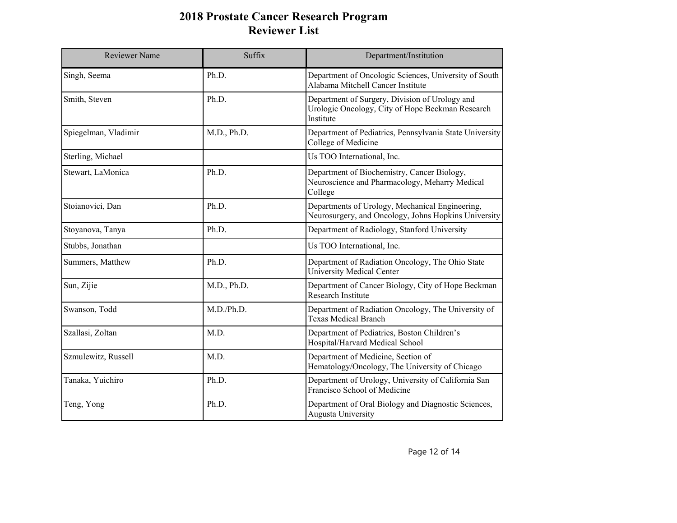| Reviewer Name        | Suffix      | Department/Institution                                                                                          |
|----------------------|-------------|-----------------------------------------------------------------------------------------------------------------|
| Singh, Seema         | Ph.D.       | Department of Oncologic Sciences, University of South<br>Alabama Mitchell Cancer Institute                      |
| Smith, Steven        | Ph.D.       | Department of Surgery, Division of Urology and<br>Urologic Oncology, City of Hope Beckman Research<br>Institute |
| Spiegelman, Vladimir | M.D., Ph.D. | Department of Pediatrics, Pennsylvania State University<br>College of Medicine                                  |
| Sterling, Michael    |             | Us TOO International, Inc.                                                                                      |
| Stewart, LaMonica    | Ph.D.       | Department of Biochemistry, Cancer Biology,<br>Neuroscience and Pharmacology, Meharry Medical<br>College        |
| Stoianovici, Dan     | Ph.D.       | Departments of Urology, Mechanical Engineering,<br>Neurosurgery, and Oncology, Johns Hopkins University         |
| Stoyanova, Tanya     | Ph.D.       | Department of Radiology, Stanford University                                                                    |
| Stubbs, Jonathan     |             | Us TOO International, Inc.                                                                                      |
| Summers, Matthew     | Ph.D.       | Department of Radiation Oncology, The Ohio State<br>University Medical Center                                   |
| Sun, Zijie           | M.D., Ph.D. | Department of Cancer Biology, City of Hope Beckman<br>Research Institute                                        |
| Swanson, Todd        | M.D./Ph.D.  | Department of Radiation Oncology, The University of<br><b>Texas Medical Branch</b>                              |
| Szallasi, Zoltan     | M.D.        | Department of Pediatrics, Boston Children's<br>Hospital/Harvard Medical School                                  |
| Szmulewitz, Russell  | M.D.        | Department of Medicine, Section of<br>Hematology/Oncology, The University of Chicago                            |
| Tanaka, Yuichiro     | Ph.D.       | Department of Urology, University of California San<br>Francisco School of Medicine                             |
| Teng, Yong           | Ph.D.       | Department of Oral Biology and Diagnostic Sciences,<br>Augusta University                                       |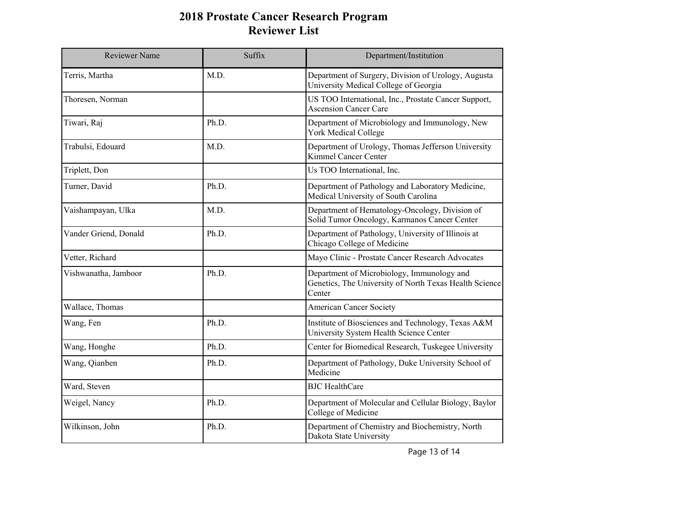| Reviewer Name         | Suffix | Department/Institution                                                                                         |
|-----------------------|--------|----------------------------------------------------------------------------------------------------------------|
| Terris, Martha        | M.D.   | Department of Surgery, Division of Urology, Augusta<br>University Medical College of Georgia                   |
| Thoresen, Norman      |        | US TOO International, Inc., Prostate Cancer Support,<br><b>Ascension Cancer Care</b>                           |
| Tiwari, Raj           | Ph.D.  | Department of Microbiology and Immunology, New<br>York Medical College                                         |
| Trabulsi, Edouard     | M.D.   | Department of Urology, Thomas Jefferson University<br><b>Kimmel Cancer Center</b>                              |
| Triplett, Don         |        | Us TOO International, Inc.                                                                                     |
| Turner, David         | Ph.D.  | Department of Pathology and Laboratory Medicine,<br>Medical University of South Carolina                       |
| Vaishampayan, Ulka    | M.D.   | Department of Hematology-Oncology, Division of<br>Solid Tumor Oncology, Karmanos Cancer Center                 |
| Vander Griend, Donald | Ph.D.  | Department of Pathology, University of Illinois at<br>Chicago College of Medicine                              |
| Vetter, Richard       |        | Mayo Clinic - Prostate Cancer Research Advocates                                                               |
| Vishwanatha, Jamboor  | Ph.D.  | Department of Microbiology, Immunology and<br>Genetics, The University of North Texas Health Science<br>Center |
| Wallace, Thomas       |        | <b>American Cancer Society</b>                                                                                 |
| Wang, Fen             | Ph.D.  | Institute of Biosciences and Technology, Texas A&M<br>University System Health Science Center                  |
| Wang, Honghe          | Ph.D.  | Center for Biomedical Research, Tuskegee University                                                            |
| Wang, Qianben         | Ph.D.  | Department of Pathology, Duke University School of<br>Medicine                                                 |
| Ward, Steven          |        | <b>BJC</b> HealthCare                                                                                          |
| Weigel, Nancy         | Ph.D.  | Department of Molecular and Cellular Biology, Baylor<br>College of Medicine                                    |
| Wilkinson, John       | Ph.D.  | Department of Chemistry and Biochemistry, North<br>Dakota State University                                     |